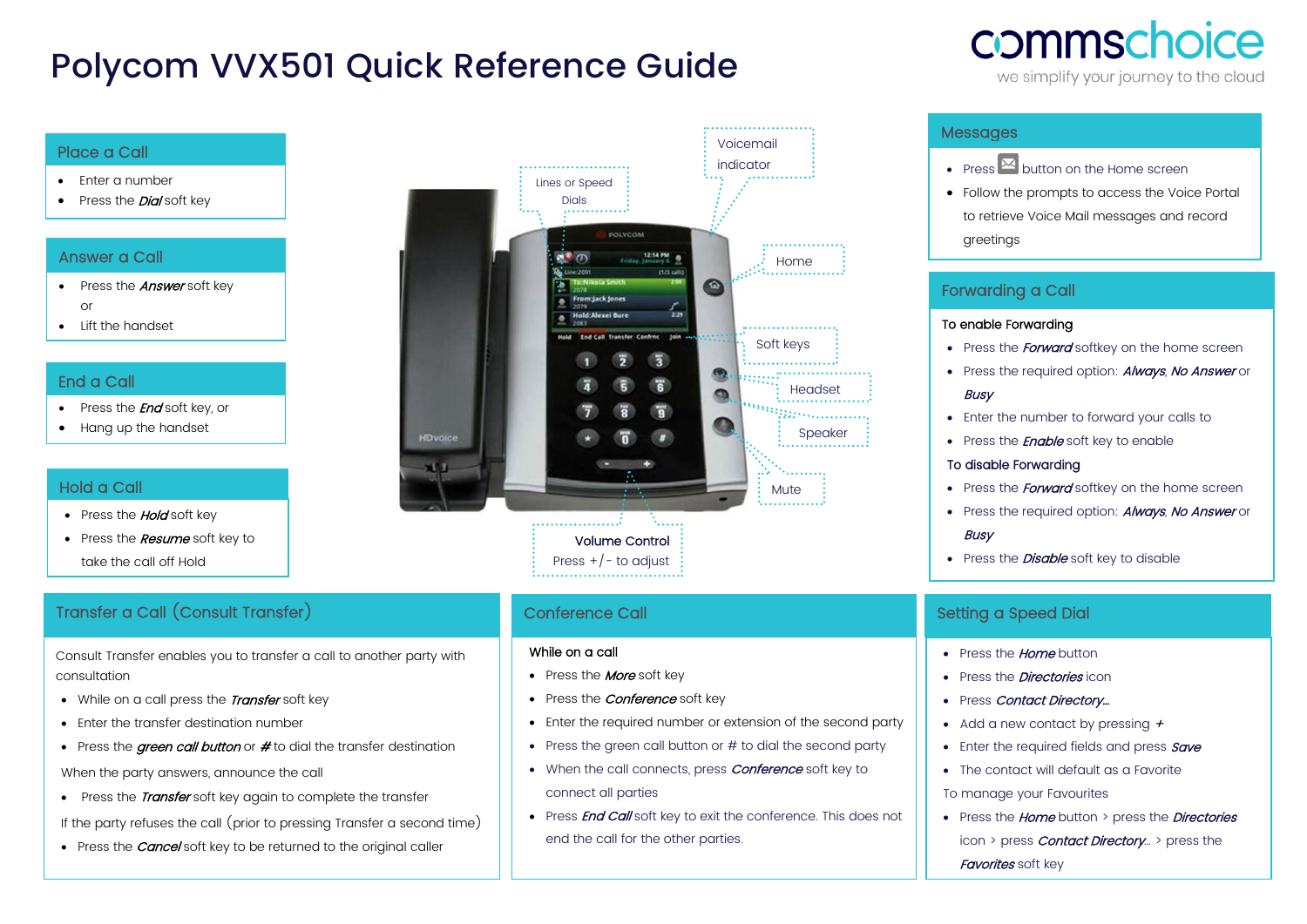# Polycom VVX501 Quick Reference Guide

# commschoice

we simplify your journey to the cloud

#### Place a Call

- Enter a number
- Press the **Dial** soft key

# Answer a Call

- Press the **Answer** soft key or
- Lift the handset

# End a Call

- Press the *End* soft key, or
- Hang up the handset

# Hold a Call

- Press the **Hold** soft key
- Press the **Resume** soft key to take the call off Hold

# Transfer a Call (Consult Transfer)

Consult Transfer enables you to transfer a call to another party with consultation

- While on a call press the **Transfer** soft key
- Enter the transfer destination number
- Press the *green call button* or # to dial the transfer destination

When the party answers, announce the call

• Press the *Transfer* soft key again to complete the transfer

If the party refuses the call (prior to pressing Transfer a second time)

• Press the *Cancel* soft key to be returned to the original caller



# Conference Call

#### While on a call

- Press the **More** soft key
- Press the *Conference* soft key
- Enter the required number or extension of the second party
- $\bullet$  Press the green call button or  $\#$  to dial the second party
- When the call connects, press **Conference** soft key to connect all parties
- Press **End Call** soft key to exit the conference. This does not end the call for the other parties.

## Messages

- Press  $\overline{\mathbf{M}}$  button on the Home screen
- Follow the prompts to access the Voice Portal to retrieve Voice Mail messages and record greetings

# Forwarding a Call

#### To enable Forwarding

- Press the **Forward** softkey on the home screen
- Press the required option: **Always**, No Answer or **Busy**
- Enter the number to forward your calls to
- Press the **Enable** soft key to enable

#### To disable Forwarding

- Press the *Forward* softkey on the home screen
- Press the required option: **Always**, No Answer or **Busy**
- Press the **Disable** soft key to disable

### Setting a Speed Dial

- Press the **Home** button
- Press the *Directories* icon
- Press Contact Directory...
- Add a new contact by pressing  $+$
- Enter the required fields and press **Save**
- The contact will default as a Favorite
- To manage your Favourites
- Press the *Home* button > press the *Directories* icon > press *Contact Directory*... > press the Favorites soft key